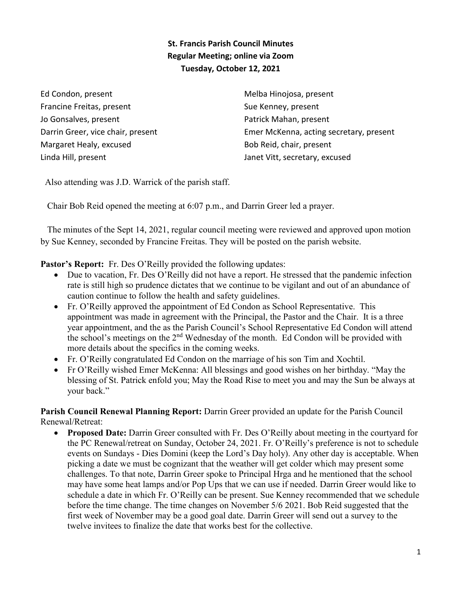## **St. Francis Parish Council Minutes Regular Meeting; online via Zoom Tuesday, October 12, 2021**

Ed Condon, present Francine Freitas, present Jo Gonsalves, present Darrin Greer, vice chair, present Margaret Healy, excused Linda Hill, present

Melba Hinojosa, present Sue Kenney, present Patrick Mahan, present Emer McKenna, acting secretary, present Bob Reid, chair, present Janet Vitt, secretary, excused

Also attending was J.D. Warrick of the parish staff.

Chair Bob Reid opened the meeting at 6:07 p.m., and Darrin Greer led a prayer.

 The minutes of the Sept 14, 2021, regular council meeting were reviewed and approved upon motion by Sue Kenney, seconded by Francine Freitas. They will be posted on the parish website.

Pastor's Report: Fr. Des O'Reilly provided the following updates:

- Due to vacation, Fr. Des O'Reilly did not have a report. He stressed that the pandemic infection rate is still high so prudence dictates that we continue to be vigilant and out of an abundance of caution continue to follow the health and safety guidelines.
- Fr. O'Reilly approved the appointment of Ed Condon as School Representative. This appointment was made in agreement with the Principal, the Pastor and the Chair. It is a three year appointment, and the as the Parish Council's School Representative Ed Condon will attend the school's meetings on the 2<sup>nd</sup> Wednesday of the month. Ed Condon will be provided with more details about the specifics in the coming weeks.
- Fr. O'Reilly congratulated Ed Condon on the marriage of his son Tim and Xochtil.
- Fr O'Reilly wished Emer McKenna: All blessings and good wishes on her birthday. "May the blessing of St. Patrick enfold you; May the Road Rise to meet you and may the Sun be always at your back."

**Parish Council Renewal Planning Report:** Darrin Greer provided an update for the Parish Council Renewal/Retreat:

• **Proposed Date:** Darrin Greer consulted with Fr. Des O'Reilly about meeting in the courtyard for the PC Renewal/retreat on Sunday, October 24, 2021. Fr. O'Reilly's preference is not to schedule events on Sundays - Dies Domini (keep the Lord's Day holy). Any other day is acceptable. When picking a date we must be cognizant that the weather will get colder which may present some challenges. To that note, Darrin Greer spoke to Principal Hrga and he mentioned that the school may have some heat lamps and/or Pop Ups that we can use if needed. Darrin Greer would like to schedule a date in which Fr. O'Reilly can be present. Sue Kenney recommended that we schedule before the time change. The time changes on November 5/6 2021. Bob Reid suggested that the first week of November may be a good goal date. Darrin Greer will send out a survey to the twelve invitees to finalize the date that works best for the collective.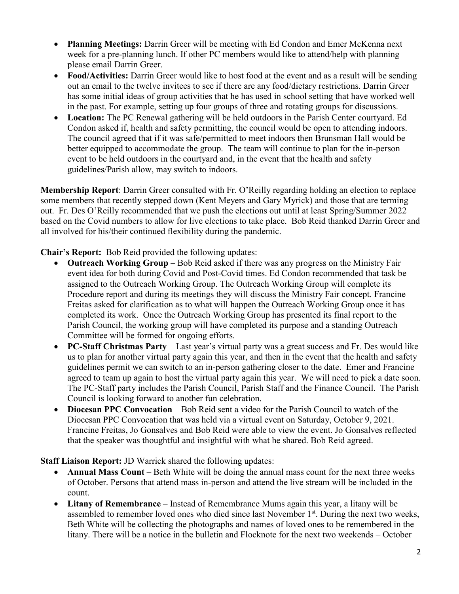- **Planning Meetings:** Darrin Greer will be meeting with Ed Condon and Emer McKenna next week for a pre-planning lunch. If other PC members would like to attend/help with planning please email Darrin Greer.
- **Food/Activities:** Darrin Greer would like to host food at the event and as a result will be sending out an email to the twelve invitees to see if there are any food/dietary restrictions. Darrin Greer has some initial ideas of group activities that he has used in school setting that have worked well in the past. For example, setting up four groups of three and rotating groups for discussions.
- **Location:** The PC Renewal gathering will be held outdoors in the Parish Center courtyard. Ed Condon asked if, health and safety permitting, the council would be open to attending indoors. The council agreed that if it was safe/permitted to meet indoors then Brunsman Hall would be better equipped to accommodate the group. The team will continue to plan for the in-person event to be held outdoors in the courtyard and, in the event that the health and safety guidelines/Parish allow, may switch to indoors.

**Membership Report**: Darrin Greer consulted with Fr. O'Reilly regarding holding an election to replace some members that recently stepped down (Kent Meyers and Gary Myrick) and those that are terming out. Fr. Des O'Reilly recommended that we push the elections out until at least Spring/Summer 2022 based on the Covid numbers to allow for live elections to take place. Bob Reid thanked Darrin Greer and all involved for his/their continued flexibility during the pandemic.

**Chair's Report:** Bob Reid provided the following updates:

- **Outreach Working Group** Bob Reid asked if there was any progress on the Ministry Fair event idea for both during Covid and Post-Covid times. Ed Condon recommended that task be assigned to the Outreach Working Group. The Outreach Working Group will complete its Procedure report and during its meetings they will discuss the Ministry Fair concept. Francine Freitas asked for clarification as to what will happen the Outreach Working Group once it has completed its work. Once the Outreach Working Group has presented its final report to the Parish Council, the working group will have completed its purpose and a standing Outreach Committee will be formed for ongoing efforts.
- **PC-Staff Christmas Party** Last year's virtual party was a great success and Fr. Des would like us to plan for another virtual party again this year, and then in the event that the health and safety guidelines permit we can switch to an in-person gathering closer to the date. Emer and Francine agreed to team up again to host the virtual party again this year. We will need to pick a date soon. The PC-Staff party includes the Parish Council, Parish Staff and the Finance Council. The Parish Council is looking forward to another fun celebration.
- **Diocesan PPC Convocation** Bob Reid sent a video for the Parish Council to watch of the Diocesan PPC Convocation that was held via a virtual event on Saturday, October 9, 2021. Francine Freitas, Jo Gonsalves and Bob Reid were able to view the event. Jo Gonsalves reflected that the speaker was thoughtful and insightful with what he shared. Bob Reid agreed.

**Staff Liaison Report:** JD Warrick shared the following updates:

- **Annual Mass Count** Beth White will be doing the annual mass count for the next three weeks of October. Persons that attend mass in-person and attend the live stream will be included in the count.
- **Litany of Remembrance**  Instead of Remembrance Mums again this year, a litany will be assembled to remember loved ones who died since last November  $1<sup>st</sup>$ . During the next two weeks, Beth White will be collecting the photographs and names of loved ones to be remembered in the litany. There will be a notice in the bulletin and Flocknote for the next two weekends – October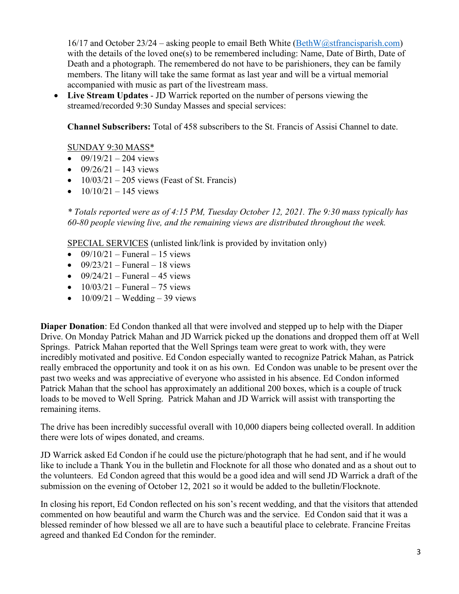$16/17$  and October  $23/24$  – asking people to email Beth White [\(BethW@stfrancisparish.com\)](mailto:BethW@stfrancisparish.com) with the details of the loved one(s) to be remembered including: Name, Date of Birth, Date of Death and a photograph. The remembered do not have to be parishioners, they can be family members. The litany will take the same format as last year and will be a virtual memorial accompanied with music as part of the livestream mass.

• **Live Stream Updates** - JD Warrick reported on the number of persons viewing the streamed/recorded 9:30 Sunday Masses and special services:

**Channel Subscribers:** Total of 458 subscribers to the St. Francis of Assisi Channel to date.

## SUNDAY 9:30 MASS\*

- $09/19/21 204$  views
- $09/26/21 143$  views
- $10/03/21 205$  views (Feast of St. Francis)
- $10/10/21 145$  views

*\* Totals reported were as of 4:15 PM, Tuesday October 12, 2021. The 9:30 mass typically has 60-80 people viewing live, and the remaining views are distributed throughout the week.*

SPECIAL SERVICES (unlisted link/link is provided by invitation only)

- $09/10/21$  Funeral 15 views
- $09/23/21$  Funeral 18 views
- $09/24/21$  Funeral 45 views
- $10/03/21$  Funeral 75 views
- $10/09/21$  Wedding 39 views

**Diaper Donation**: Ed Condon thanked all that were involved and stepped up to help with the Diaper Drive. On Monday Patrick Mahan and JD Warrick picked up the donations and dropped them off at Well Springs. Patrick Mahan reported that the Well Springs team were great to work with, they were incredibly motivated and positive. Ed Condon especially wanted to recognize Patrick Mahan, as Patrick really embraced the opportunity and took it on as his own. Ed Condon was unable to be present over the past two weeks and was appreciative of everyone who assisted in his absence. Ed Condon informed Patrick Mahan that the school has approximately an additional 200 boxes, which is a couple of truck loads to be moved to Well Spring. Patrick Mahan and JD Warrick will assist with transporting the remaining items.

The drive has been incredibly successful overall with 10,000 diapers being collected overall. In addition there were lots of wipes donated, and creams.

JD Warrick asked Ed Condon if he could use the picture/photograph that he had sent, and if he would like to include a Thank You in the bulletin and Flocknote for all those who donated and as a shout out to the volunteers. Ed Condon agreed that this would be a good idea and will send JD Warrick a draft of the submission on the evening of October 12, 2021 so it would be added to the bulletin/Flocknote.

In closing his report, Ed Condon reflected on his son's recent wedding, and that the visitors that attended commented on how beautiful and warm the Church was and the service. Ed Condon said that it was a blessed reminder of how blessed we all are to have such a beautiful place to celebrate. Francine Freitas agreed and thanked Ed Condon for the reminder.